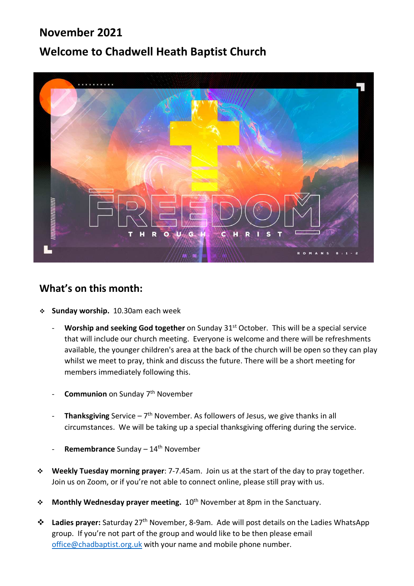# **November 2021**

# **Welcome to Chadwell Heath Baptist Church**



## **What's on this month:**

- **Sunday worship.** 10.30am each week
	- **Worship and seeking God together** on Sunday 31<sup>st</sup> October. This will be a special service that will include our church meeting. Everyone is welcome and there will be refreshments available, the younger children's area at the back of the church will be open so they can play whilst we meet to pray, think and discuss the future. There will be a short meeting for members immediately following this.
	- **Communion** on Sunday 7<sup>th</sup> November
	- **Thanksgiving** Service  $7<sup>th</sup>$  November. As followers of Jesus, we give thanks in all circumstances. We will be taking up a special thanksgiving offering during the service.
	- **Remembrance** Sunday 14<sup>th</sup> November
- **Weekly Tuesday morning prayer**: 7-7.45am. Join us at the start of the day to pray together. Join us on Zoom, or if you're not able to connect online, please still pray with us.
- **Monthly Wednesday prayer meeting.** 10<sup>th</sup> November at 8pm in the Sanctuary.
- **Ladies prayer:** Saturday 27th November, 8-9am. Ade will post details on the Ladies WhatsApp group. If you're not part of the group and would like to be then please email office@chadbaptist.org.uk with your name and mobile phone number.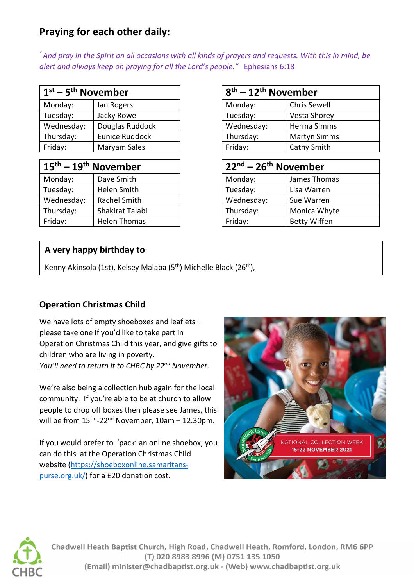# **Praying for each other daily:**

*" And pray in the Spirit on all occasions with all kinds of prayers and requests. With this in mind, be alert and always keep on praying for all the Lord's people."* Ephesians 6:18

| $1st - 5th$ November |                 | $18^{th}$ – 12 <sup>th</sup> November |                     |
|----------------------|-----------------|---------------------------------------|---------------------|
| Monday:              | lan Rogers      | Monday:                               | Chris Sewell        |
| Tuesday:             | Jacky Rowe      | Tuesday:                              | Vesta Shorey        |
| Wednesday:           | Douglas Ruddock | Wednesday:                            | Herma Simms         |
| Thursday:            | Eunice Ruddock  | Thursday:                             | <b>Martyn Simms</b> |
| Friday:              | Maryam Sales    | Friday:                               | Cathy Smith         |

| $15^{\text{th}} - 19^{\text{th}}$ November |                     | 22 <sup>nd</sup> – 26 <sup>th</sup> November |                     |
|--------------------------------------------|---------------------|----------------------------------------------|---------------------|
| Monday:                                    | Dave Smith          | Monday:                                      | James Thomas        |
| Tuesday:                                   | Helen Smith         | Tuesday:                                     | Lisa Warren         |
| Wednesday:                                 | Rachel Smith        | Wednesday:                                   | Sue Warren          |
| Thursday:                                  | Shakirat Talabi     | Thursday:                                    | Monica Whyte        |
| Friday:                                    | <b>Helen Thomas</b> | Friday:                                      | <b>Betty Wiffen</b> |

| $8th - 12th$ November |                     |  |  |
|-----------------------|---------------------|--|--|
| Monday:               | <b>Chris Sewell</b> |  |  |
| Tuesday:              | <b>Vesta Shorey</b> |  |  |
| Wednesday:            | Herma Simms         |  |  |
| Thursday:             | <b>Martyn Simms</b> |  |  |
| Friday:               | Cathy Smith         |  |  |

| $22nd - 26th$ November |                     |  |  |
|------------------------|---------------------|--|--|
| Monday:                | James Thomas        |  |  |
| Tuesday:               | Lisa Warren         |  |  |
| Wednesday:             | Sue Warren          |  |  |
| Thursday:              | Monica Whyte        |  |  |
| Friday:                | <b>Betty Wiffen</b> |  |  |

### **A very happy birthday to**:

Kenny Akinsola (1st), Kelsey Malaba (5<sup>th</sup>) Michelle Black (26<sup>th</sup>),

## **Operation Christmas Child**

We have lots of empty shoeboxes and leaflets – please take one if you'd like to take part in Operation Christmas Child this year, and give gifts to children who are living in poverty. *You'll need to return it to CHBC by 22nd November.* 

We're also being a collection hub again for the local community. If you're able to be at church to allow people to drop off boxes then please see James, this will be from  $15<sup>th</sup> - 22<sup>nd</sup>$  November,  $10am - 12.30pm$ .

If you would prefer to 'pack' an online shoebox, you can do this at the Operation Christmas Child website (https://shoeboxonline.samaritanspurse.org.uk/) for a £20 donation cost.





Chadwell Heath Baptist Church, High Road, Chadwell Heath, Romford, London, RM6 6PP (T) 020 8983 8996 (M) 0751 135 1050 (Email) minister@chadbaptist.org.uk - (Web) www.chadbaptist.org.uk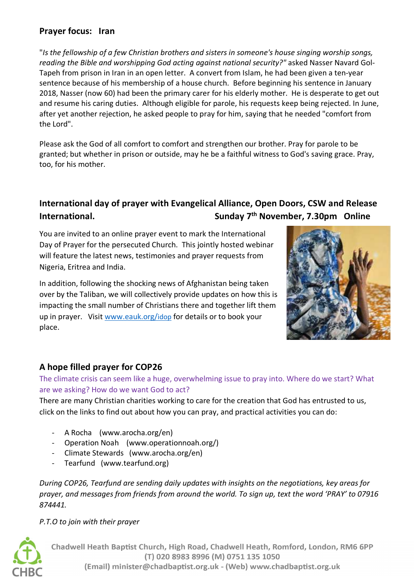### **Prayer focus: Iran**

"*Is the fellowship of a few Christian brothers and sisters in someone's house singing worship songs, reading the Bible and worshipping God acting against national security?"* asked Nasser Navard Gol-Tapeh from prison in Iran in an open letter. A convert from Islam, he had been given a ten-year sentence because of his membership of a house church. Before beginning his sentence in January 2018, Nasser (now 60) had been the primary carer for his elderly mother. He is desperate to get out and resume his caring duties. Although eligible for parole, his requests keep being rejected. In June, after yet another rejection, he asked people to pray for him, saying that he needed "comfort from the Lord".

Please ask the God of all comfort to comfort and strengthen our brother. Pray for parole to be granted; but whether in prison or outside, may he be a faithful witness to God's saving grace. Pray, too, for his mother.

# **International day of prayer with Evangelical Alliance, Open Doors, CSW and Release International. Sunday 7th November, 7.30pm Online**

You are invited to an online prayer event to mark the International Day of Prayer for the persecuted Church. This jointly hosted webinar will feature the latest news, testimonies and prayer requests from Nigeria, Eritrea and India.

In addition, following the shocking news of Afghanistan being taken over by the Taliban, we will collectively provide updates on how this is impacting the small number of Christians there and together lift them up in prayer. Visit www.eauk.org/idop for details or to book your place.



## **A hope filled prayer for COP26**

The climate crisis can seem like a huge, overwhelming issue to pray into. Where do we start? What are we asking? How do we want God to act?

There are many Christian charities working to care for the creation that God has entrusted to us, click on the links to find out about how you can pray, and practical activities you can do:

- A Rocha (www.arocha.org/en)
- Operation Noah (www.operationnoah.org/)
- Climate Stewards (www.arocha.org/en)
- Tearfund (www.tearfund.org)

*During COP26, Tearfund are sending daily updates with insights on the negotiations, key areas for prayer, and messages from friends from around the world. To sign up, text the word 'PRAY' to 07916 874441.* 

*P.T.O to join with their prayer* 



Chadwell Heath Baptist Church, High Road, Chadwell Heath, Romford, London, RM6 6PP (T) 020 8983 8996 (M) 0751 135 1050 (Email) minister@chadbaptist.org.uk - (Web) www.chadbaptist.org.uk